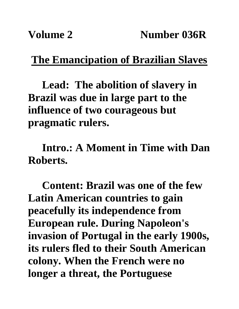## **The Emancipation of Brazilian Slaves**

**Lead: The abolition of slavery in Brazil was due in large part to the influence of two courageous but pragmatic rulers.**

**Intro.: A Moment in Time with Dan Roberts.**

**Content: Brazil was one of the few Latin American countries to gain peacefully its independence from European rule. During Napoleon's invasion of Portugal in the early 1900s, its rulers fled to their South American colony. When the French were no longer a threat, the Portuguese**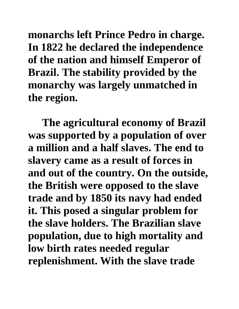**monarchs left Prince Pedro in charge. In 1822 he declared the independence of the nation and himself Emperor of Brazil. The stability provided by the monarchy was largely unmatched in the region.** 

**The agricultural economy of Brazil was supported by a population of over a million and a half slaves. The end to slavery came as a result of forces in and out of the country. On the outside, the British were opposed to the slave trade and by 1850 its navy had ended it. This posed a singular problem for the slave holders. The Brazilian slave population, due to high mortality and low birth rates needed regular replenishment. With the slave trade**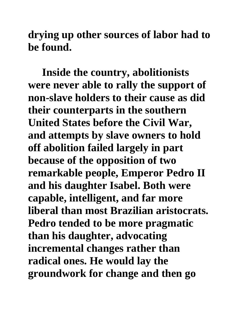**drying up other sources of labor had to be found.**

**Inside the country, abolitionists were never able to rally the support of non-slave holders to their cause as did their counterparts in the southern United States before the Civil War, and attempts by slave owners to hold off abolition failed largely in part because of the opposition of two remarkable people, Emperor Pedro II and his daughter Isabel. Both were capable, intelligent, and far more liberal than most Brazilian aristocrats. Pedro tended to be more pragmatic than his daughter, advocating incremental changes rather than radical ones. He would lay the groundwork for change and then go**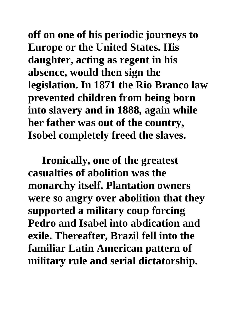**off on one of his periodic journeys to Europe or the United States. His daughter, acting as regent in his absence, would then sign the legislation. In 1871 the Rio Branco law prevented children from being born into slavery and in 1888, again while her father was out of the country, Isobel completely freed the slaves.** 

**Ironically, one of the greatest casualties of abolition was the monarchy itself. Plantation owners were so angry over abolition that they supported a military coup forcing Pedro and Isabel into abdication and exile. Thereafter, Brazil fell into the familiar Latin American pattern of military rule and serial dictatorship.**